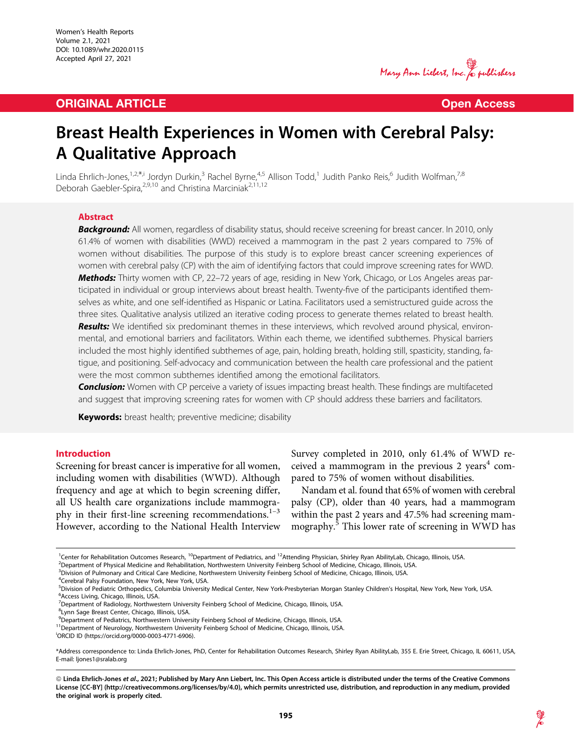## **ORIGINAL ARTICLE CONSUMING ARTICLE CONSUMING ACCESS**

Mary Ann Liebert, Inc. & publishers

# Breast Health Experiences in Women with Cerebral Palsy: A Qualitative Approach

Linda Ehrlich-Jones,<sup>1,2,\*,i</sup> Jordyn Durkin,<sup>3</sup> Rachel Byrne,<sup>4,5</sup> Allison Todd,<sup>1</sup> Judith Panko Reis,<sup>6</sup> Judith Wolfman,<sup>7,8</sup> Deborah Gaebler-Spira,<sup>2,9,10</sup> and Christina Marciniak<sup>2,11,12</sup>

### Abstract

Background: All women, regardless of disability status, should receive screening for breast cancer. In 2010, only 61.4% of women with disabilities (WWD) received a mammogram in the past 2 years compared to 75% of women without disabilities. The purpose of this study is to explore breast cancer screening experiences of women with cerebral palsy (CP) with the aim of identifying factors that could improve screening rates for WWD. Methods: Thirty women with CP, 22-72 years of age, residing in New York, Chicago, or Los Angeles areas participated in individual or group interviews about breast health. Twenty-five of the participants identified themselves as white, and one self-identified as Hispanic or Latina. Facilitators used a semistructured guide across the three sites. Qualitative analysis utilized an iterative coding process to generate themes related to breast health. Results: We identified six predominant themes in these interviews, which revolved around physical, environmental, and emotional barriers and facilitators. Within each theme, we identified subthemes. Physical barriers included the most highly identified subthemes of age, pain, holding breath, holding still, spasticity, standing, fatigue, and positioning. Self-advocacy and communication between the health care professional and the patient were the most common subthemes identified among the emotional facilitators.

**Conclusion:** Women with CP perceive a variety of issues impacting breast health. These findings are multifaceted and suggest that improving screening rates for women with CP should address these barriers and facilitators.

Keywords: breast health; preventive medicine; disability

## Introduction

Screening for breast cancer is imperative for all women, including women with disabilities (WWD). Although frequency and age at which to begin screening differ, all US health care organizations include mammography in their first-line screening recommendations. $1-3$ However, according to the National Health Interview Survey completed in 2010, only 61.4% of WWD received a mammogram in the previous 2 years<sup>4</sup> compared to 75% of women without disabilities.

Nandam et al. found that 65% of women with cerebral palsy (CP), older than 40 years, had a mammogram within the past 2 years and 47.5% had screening mammography.<sup>5</sup> This lower rate of screening in WWD has

<sup>&</sup>lt;sup>1</sup>Center for Rehabilitation Outcomes Research, <sup>10</sup>Department of Pediatrics, and <sup>12</sup>Attending Physician, Shirley Ryan AbilityLab, Chicago, Illinois, USA.<br><sup>2</sup>Department of Physical Medicine and Pebabilitation Nethwestern

<sup>&</sup>lt;sup>2</sup>Department of Physical Medicine and Rehabilitation, Northwestern University Feinberg School of Medicine, Chicago, Illinois, USA.

<sup>3</sup> Division of Pulmonary and Critical Care Medicine, Northwestern University Feinberg School of Medicine, Chicago, Illinois, USA.

<sup>4</sup> Cerebral Palsy Foundation, New York, New York, USA.

<sup>&</sup>lt;sup>5</sup>Division of Pediatric Orthopedics, Columbia University Medical Center, New York-Presbyterian Morgan Stanley Children's Hospital, New York, New York, USA.<br><sup>6</sup>Access Living, Chicago, Illinois, USA Access Living, Chicago, Illinois, USA.

<sup>&</sup>lt;sup>7</sup>Department of Radiology, Northwestern University Feinberg School of Medicine, Chicago, Illinois, USA.

<sup>8</sup> Lynn Sage Breast Center, Chicago, Illinois, USA.

<sup>&</sup>lt;sup>9</sup>Department of Pediatrics, Northwestern University Feinberg School of Medicine, Chicago, Illinois, USA.

 $^{11}$ Department of Neurology, Northwestern University Feinberg School of Medicine, Chicago, Illinois, USA.

ORCID ID ([https://orcid.org/0000-0003-4771-6906\)](https://orcid.org/0000-0003-4771-6906).

<sup>\*</sup>Address correspondence to: Linda Ehrlich-Jones, PhD, Center for Rehabilitation Outcomes Research, Shirley Ryan AbilityLab, 355 E. Erie Street, Chicago, IL 60611, USA, E-mail: ljones1@sralab.org

<sup>©</sup> Linda Ehrlich-Jones et al., 2021; Published by Mary Ann Liebert, Inc. This Open Access article is distributed under the terms of the Creative Commons License [CC-BY] [\(http://creativecommons.org/licenses/by/4.0](http://creativecommons.org/licenses/by/4.0)), which permits unrestricted use, distribution, and reproduction in any medium, provided the original work is properly cited.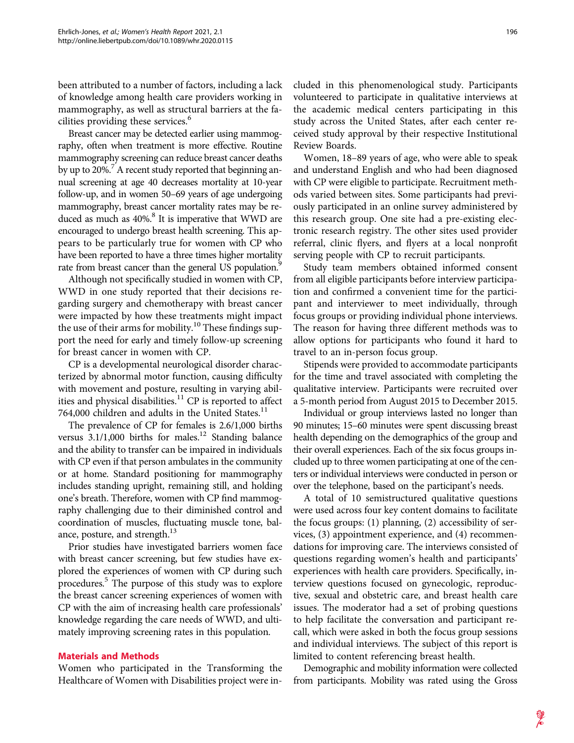been attributed to a number of factors, including a lack of knowledge among health care providers working in mammography, as well as structural barriers at the facilities providing these services.<sup>6</sup>

Breast cancer may be detected earlier using mammography, often when treatment is more effective. Routine mammography screening can reduce breast cancer deaths by up to 20%.<sup>7</sup> A recent study reported that beginning annual screening at age 40 decreases mortality at 10-year follow-up, and in women 50–69 years of age undergoing mammography, breast cancer mortality rates may be reduced as much as  $40\%$ <sup>8</sup>. It is imperative that WWD are encouraged to undergo breast health screening. This appears to be particularly true for women with CP who have been reported to have a three times higher mortality rate from breast cancer than the general US population.<sup>9</sup>

Although not specifically studied in women with CP, WWD in one study reported that their decisions regarding surgery and chemotherapy with breast cancer were impacted by how these treatments might impact the use of their arms for mobility.<sup>10</sup> These findings support the need for early and timely follow-up screening for breast cancer in women with CP.

CP is a developmental neurological disorder characterized by abnormal motor function, causing difficulty with movement and posture, resulting in varying abilities and physical disabilities.<sup>11</sup> CP is reported to affect 764,000 children and adults in the United States.<sup>11</sup>

The prevalence of CP for females is 2.6/1,000 births versus  $3.1/1,000$  births for males.<sup>12</sup> Standing balance and the ability to transfer can be impaired in individuals with CP even if that person ambulates in the community or at home. Standard positioning for mammography includes standing upright, remaining still, and holding one's breath. Therefore, women with CP find mammography challenging due to their diminished control and coordination of muscles, fluctuating muscle tone, balance, posture, and strength.<sup>13</sup>

Prior studies have investigated barriers women face with breast cancer screening, but few studies have explored the experiences of women with CP during such procedures.<sup>5</sup> The purpose of this study was to explore the breast cancer screening experiences of women with CP with the aim of increasing health care professionals' knowledge regarding the care needs of WWD, and ultimately improving screening rates in this population.

## Materials and Methods

Women who participated in the Transforming the Healthcare of Women with Disabilities project were included in this phenomenological study. Participants volunteered to participate in qualitative interviews at the academic medical centers participating in this study across the United States, after each center received study approval by their respective Institutional Review Boards.

Women, 18–89 years of age, who were able to speak and understand English and who had been diagnosed with CP were eligible to participate. Recruitment methods varied between sites. Some participants had previously participated in an online survey administered by this research group. One site had a pre-existing electronic research registry. The other sites used provider referral, clinic flyers, and flyers at a local nonprofit serving people with CP to recruit participants.

Study team members obtained informed consent from all eligible participants before interview participation and confirmed a convenient time for the participant and interviewer to meet individually, through focus groups or providing individual phone interviews. The reason for having three different methods was to allow options for participants who found it hard to travel to an in-person focus group.

Stipends were provided to accommodate participants for the time and travel associated with completing the qualitative interview. Participants were recruited over a 5-month period from August 2015 to December 2015.

Individual or group interviews lasted no longer than 90 minutes; 15–60 minutes were spent discussing breast health depending on the demographics of the group and their overall experiences. Each of the six focus groups included up to three women participating at one of the centers or individual interviews were conducted in person or over the telephone, based on the participant's needs.

A total of 10 semistructured qualitative questions were used across four key content domains to facilitate the focus groups: (1) planning, (2) accessibility of services, (3) appointment experience, and (4) recommendations for improving care. The interviews consisted of questions regarding women's health and participants' experiences with health care providers. Specifically, interview questions focused on gynecologic, reproductive, sexual and obstetric care, and breast health care issues. The moderator had a set of probing questions to help facilitate the conversation and participant recall, which were asked in both the focus group sessions and individual interviews. The subject of this report is limited to content referencing breast health.

Demographic and mobility information were collected from participants. Mobility was rated using the Gross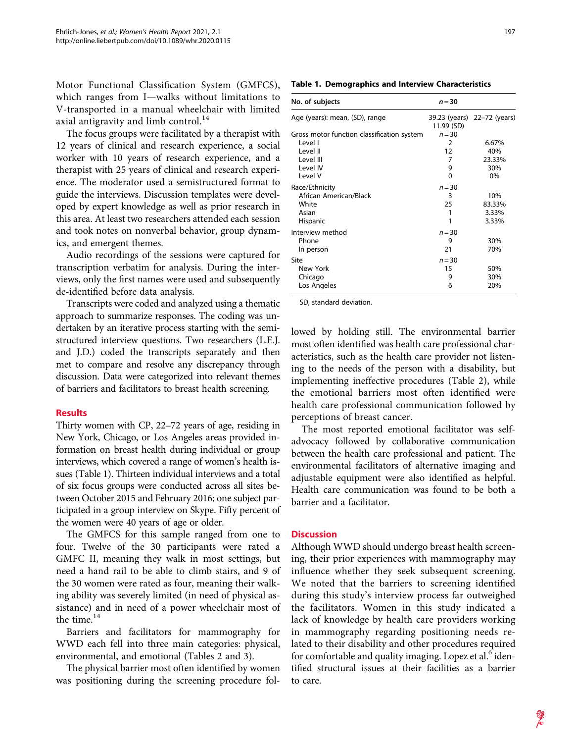Motor Functional Classification System (GMFCS), which ranges from I—walks without limitations to V-transported in a manual wheelchair with limited axial antigravity and limb control. $^{14}$ 

The focus groups were facilitated by a therapist with 12 years of clinical and research experience, a social worker with 10 years of research experience, and a therapist with 25 years of clinical and research experience. The moderator used a semistructured format to guide the interviews. Discussion templates were developed by expert knowledge as well as prior research in this area. At least two researchers attended each session and took notes on nonverbal behavior, group dynamics, and emergent themes.

Audio recordings of the sessions were captured for transcription verbatim for analysis. During the interviews, only the first names were used and subsequently de-identified before data analysis.

Transcripts were coded and analyzed using a thematic approach to summarize responses. The coding was undertaken by an iterative process starting with the semistructured interview questions. Two researchers (L.E.J. and J.D.) coded the transcripts separately and then met to compare and resolve any discrepancy through discussion. Data were categorized into relevant themes of barriers and facilitators to breast health screening.

## **Results**

Thirty women with CP, 22–72 years of age, residing in New York, Chicago, or Los Angeles areas provided information on breast health during individual or group interviews, which covered a range of women's health issues (Table 1). Thirteen individual interviews and a total of six focus groups were conducted across all sites between October 2015 and February 2016; one subject participated in a group interview on Skype. Fifty percent of the women were 40 years of age or older.

The GMFCS for this sample ranged from one to four. Twelve of the 30 participants were rated a GMFC II, meaning they walk in most settings, but need a hand rail to be able to climb stairs, and 9 of the 30 women were rated as four, meaning their walking ability was severely limited (in need of physical assistance) and in need of a power wheelchair most of the time.<sup>14</sup>

Barriers and facilitators for mammography for WWD each fell into three main categories: physical, environmental, and emotional (Tables 2 and 3).

The physical barrier most often identified by women was positioning during the screening procedure fol-

|  | <b>Table 1. Demographics and Interview Characteristics</b> |  |  |
|--|------------------------------------------------------------|--|--|
|--|------------------------------------------------------------|--|--|

| No. of subjects                            | $n = 30$       |                             |
|--------------------------------------------|----------------|-----------------------------|
| Age (years): mean, (SD), range             | 11.99 (SD)     | 39.23 (years) 22–72 (years) |
| Gross motor function classification system | $n = 30$       |                             |
| l evel l                                   | $\overline{2}$ | 6.67%                       |
| I evel II                                  | 12             | 40%                         |
| Level III                                  | 7              | 23.33%                      |
| Level IV                                   | 9              | 30%                         |
| Level V                                    | 0              | $0\%$                       |
| Race/Ethnicity                             | $n = 30$       |                             |
| African American/Black                     | 3              | 10%                         |
| White                                      | 25             | 83.33%                      |
| Asian                                      | 1              | 3.33%                       |
| Hispanic                                   | 1              | 3.33%                       |
| Interview method                           | $n = 30$       |                             |
| Phone                                      | 9              | 30%                         |
| In person                                  | 21             | 70%                         |
| Site                                       | $n = 30$       |                             |
| New York                                   | 15             | 50%                         |
| Chicago                                    | 9              | 30%                         |
| Los Angeles                                | 6              | 20%                         |

SD, standard deviation.

lowed by holding still. The environmental barrier most often identified was health care professional characteristics, such as the health care provider not listening to the needs of the person with a disability, but implementing ineffective procedures (Table 2), while the emotional barriers most often identified were health care professional communication followed by perceptions of breast cancer.

The most reported emotional facilitator was selfadvocacy followed by collaborative communication between the health care professional and patient. The environmental facilitators of alternative imaging and adjustable equipment were also identified as helpful. Health care communication was found to be both a barrier and a facilitator.

## **Discussion**

Although WWD should undergo breast health screening, their prior experiences with mammography may influence whether they seek subsequent screening. We noted that the barriers to screening identified during this study's interview process far outweighed the facilitators. Women in this study indicated a lack of knowledge by health care providers working in mammography regarding positioning needs related to their disability and other procedures required for comfortable and quality imaging. Lopez et al.<sup>6</sup> identified structural issues at their facilities as a barrier to care.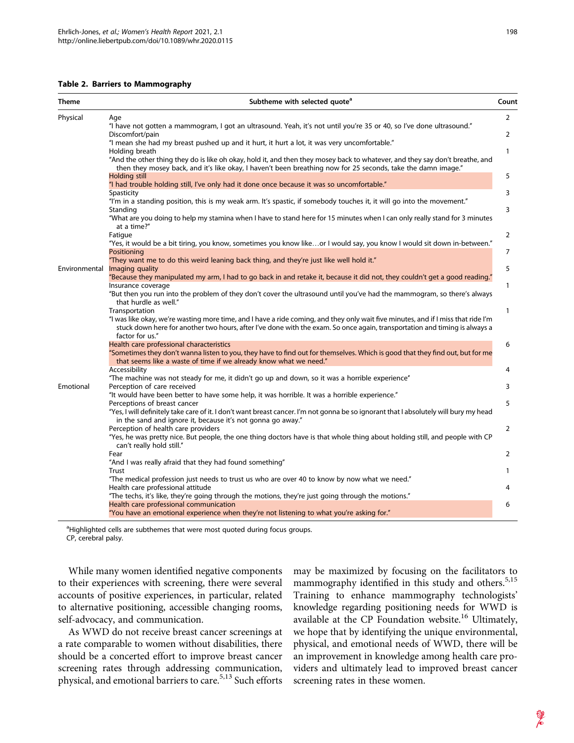|  | Table 2. Barriers to Mammography |  |  |  |  |
|--|----------------------------------|--|--|--|--|
|--|----------------------------------|--|--|--|--|

| Theme         | Subtheme with selected quote <sup>a</sup>                                                                                                                                                                                                                                                            | Count          |
|---------------|------------------------------------------------------------------------------------------------------------------------------------------------------------------------------------------------------------------------------------------------------------------------------------------------------|----------------|
| Physical      | Age                                                                                                                                                                                                                                                                                                  | $\overline{2}$ |
|               | "I have not gotten a mammogram, I got an ultrasound. Yeah, it's not until you're 35 or 40, so I've done ultrasound."<br>Discomfort/pain                                                                                                                                                              | 2              |
|               | "I mean she had my breast pushed up and it hurt, it hurt a lot, it was very uncomfortable."<br>Holding breath                                                                                                                                                                                        | $\mathbf{1}$   |
|               | "And the other thing they do is like oh okay, hold it, and then they mosey back to whatever, and they say don't breathe, and<br>then they mosey back, and it's like okay, I haven't been breathing now for 25 seconds, take the damn image."                                                         |                |
|               | <b>Holding still</b><br>"I had trouble holding still, I've only had it done once because it was so uncomfortable."                                                                                                                                                                                   | 5              |
|               | Spasticity<br>"I'm in a standing position, this is my weak arm. It's spastic, if somebody touches it, it will go into the movement."<br>Standing                                                                                                                                                     | 3<br>3         |
|               | "What are you doing to help my stamina when I have to stand here for 15 minutes when I can only really stand for 3 minutes<br>at a time?"                                                                                                                                                            |                |
|               | Fatigue<br>"Yes, it would be a bit tiring, you know, sometimes you know likeor I would say, you know I would sit down in-between."                                                                                                                                                                   | 2              |
|               | Positioning                                                                                                                                                                                                                                                                                          | 7              |
| Environmental | "They want me to do this weird leaning back thing, and they're just like well hold it."<br>Imaging quality                                                                                                                                                                                           | 5              |
|               | "Because they manipulated my arm, I had to go back in and retake it, because it did not, they couldn't get a good reading."                                                                                                                                                                          |                |
|               | Insurance coverage<br>"But then you run into the problem of they don't cover the ultrasound until you've had the mammogram, so there's always<br>that hurdle as well."                                                                                                                               | 1              |
|               | Transportation<br>"I was like okay, we're wasting more time, and I have a ride coming, and they only wait five minutes, and if I miss that ride I'm<br>stuck down here for another two hours, after I've done with the exam. So once again, transportation and timing is always a<br>factor for us." | $\mathbf{1}$   |
|               | Health care professional characteristics<br>"Sometimes they don't wanna listen to you, they have to find out for themselves. Which is good that they find out, but for me<br>that seems like a waste of time if we already know what we need."                                                       | 6              |
|               | Accessibility<br>"The machine was not steady for me, it didn't go up and down, so it was a horrible experience"                                                                                                                                                                                      | 4              |
| Emotional     | Perception of care received                                                                                                                                                                                                                                                                          | 3              |
|               | "It would have been better to have some help, it was horrible. It was a horrible experience."<br>Perceptions of breast cancer                                                                                                                                                                        | 5              |
|               | "Yes, I will definitely take care of it. I don't want breast cancer. I'm not gonna be so ignorant that I absolutely will bury my head<br>in the sand and ignore it, because it's not gonna go away."<br>Perception of health care providers                                                          | 2              |
|               | "Yes, he was pretty nice. But people, the one thing doctors have is that whole thing about holding still, and people with CP<br>can't really hold still."                                                                                                                                            |                |
|               | Fear<br>"And I was really afraid that they had found something"                                                                                                                                                                                                                                      | 2              |
|               | Trust                                                                                                                                                                                                                                                                                                | 1              |
|               | "The medical profession just needs to trust us who are over 40 to know by now what we need."<br>Health care professional attitude                                                                                                                                                                    | 4              |
|               | "The techs, it's like, they're going through the motions, they're just going through the motions."                                                                                                                                                                                                   |                |
|               | Health care professional communication<br>"You have an emotional experience when they're not listening to what you're asking for."                                                                                                                                                                   | 6              |

<sup>a</sup>Highlighted cells are subthemes that were most quoted during focus groups. CP, cerebral palsy.

While many women identified negative components to their experiences with screening, there were several accounts of positive experiences, in particular, related to alternative positioning, accessible changing rooms, self-advocacy, and communication.

As WWD do not receive breast cancer screenings at a rate comparable to women without disabilities, there should be a concerted effort to improve breast cancer screening rates through addressing communication, physical, and emotional barriers to care.<sup>5,13</sup> Such efforts may be maximized by focusing on the facilitators to mammography identified in this study and others.<sup>5,15</sup> Training to enhance mammography technologists' knowledge regarding positioning needs for WWD is available at the CP Foundation website.<sup>16</sup> Ultimately, we hope that by identifying the unique environmental, physical, and emotional needs of WWD, there will be an improvement in knowledge among health care providers and ultimately lead to improved breast cancer screening rates in these women.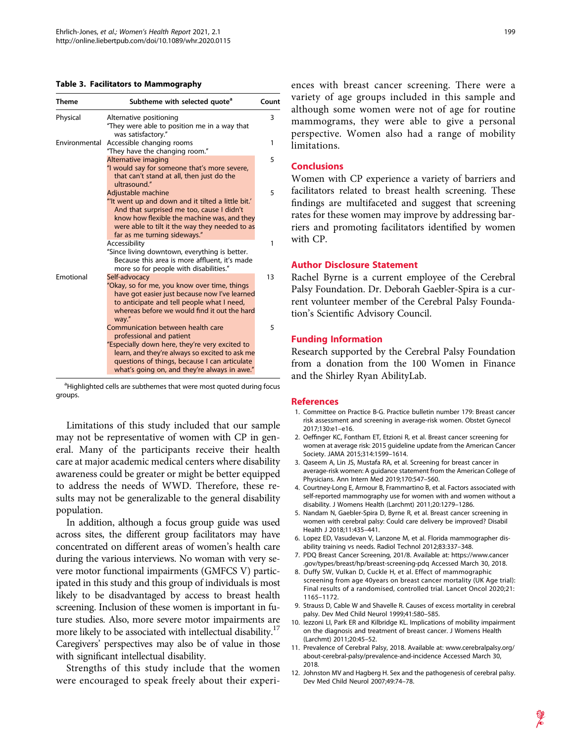#### Table 3. Facilitators to Mammography

| <b>Theme</b>  | Subtheme with selected quote <sup>a</sup>                                                                                                                                                                                                                          | Count |
|---------------|--------------------------------------------------------------------------------------------------------------------------------------------------------------------------------------------------------------------------------------------------------------------|-------|
| Physical      | Alternative positioning<br>"They were able to position me in a way that                                                                                                                                                                                            | 3     |
| Environmental | was satisfactory."<br>Accessible changing rooms<br>"They have the changing room."                                                                                                                                                                                  | 1     |
|               | Alternative imaging<br>"I would say for someone that's more severe,<br>that can't stand at all, then just do the<br>ultrasound."                                                                                                                                   | 5     |
|               | Adjustable machine<br>"It went up and down and it tilted a little bit."<br>And that surprised me too, cause I didn't<br>know how flexible the machine was, and they<br>were able to tilt it the way they needed to as<br>far as me turning sideways."              | 5     |
|               | Accessibility<br>"Since living downtown, everything is better.<br>Because this area is more affluent, it's made<br>more so for people with disabilities."                                                                                                          | 1     |
| Emotional     | Self-advocacy<br>"Okay, so for me, you know over time, things<br>have got easier just because now I've learned<br>to anticipate and tell people what I need,<br>whereas before we would find it out the hard<br>way."                                              | 13    |
|               | Communication between health care<br>professional and patient<br>"Especially down here, they're very excited to<br>learn, and they're always so excited to ask me<br>questions of things, because I can articulate<br>what's going on, and they're always in awe." | 5     |

<sup>a</sup>Highlighted cells are subthemes that were most quoted during focus groups.

Limitations of this study included that our sample may not be representative of women with CP in general. Many of the participants receive their health care at major academic medical centers where disability awareness could be greater or might be better equipped to address the needs of WWD. Therefore, these results may not be generalizable to the general disability population.

In addition, although a focus group guide was used across sites, the different group facilitators may have concentrated on different areas of women's health care during the various interviews. No woman with very severe motor functional impairments (GMFCS V) participated in this study and this group of individuals is most likely to be disadvantaged by access to breast health screening. Inclusion of these women is important in future studies. Also, more severe motor impairments are more likely to be associated with intellectual disability.<sup>17</sup> Caregivers' perspectives may also be of value in those with significant intellectual disability.

Strengths of this study include that the women were encouraged to speak freely about their experiences with breast cancer screening. There were a variety of age groups included in this sample and although some women were not of age for routine mammograms, they were able to give a personal perspective. Women also had a range of mobility limitations.

## **Conclusions**

Women with CP experience a variety of barriers and facilitators related to breast health screening. These findings are multifaceted and suggest that screening rates for these women may improve by addressing barriers and promoting facilitators identified by women with CP.

#### Author Disclosure Statement

Rachel Byrne is a current employee of the Cerebral Palsy Foundation. Dr. Deborah Gaebler-Spira is a current volunteer member of the Cerebral Palsy Foundation's Scientific Advisory Council.

#### Funding Information

Research supported by the Cerebral Palsy Foundation from a donation from the 100 Women in Finance and the Shirley Ryan AbilityLab.

#### References

- 1. Committee on Practice B-G. Practice bulletin number 179: Breast cancer risk assessment and screening in average-risk women. Obstet Gynecol 2017;130:e1–e16.
- 2. Oeffinger KC, Fontham ET, Etzioni R, et al. Breast cancer screening for women at average risk: 2015 guideline update from the American Cancer Society. JAMA 2015;314:1599–1614.
- 3. Qaseem A, Lin JS, Mustafa RA, et al. Screening for breast cancer in average-risk women: A guidance statement from the American College of Physicians. Ann Intern Med 2019;170:547–560.
- 4. Courtney-Long E, Armour B, Frammartino B, et al. Factors associated with self-reported mammography use for women with and women without a disability. J Womens Health (Larchmt) 2011;20:1279–1286.
- 5. Nandam N, Gaebler-Spira D, Byrne R, et al. Breast cancer screening in women with cerebral palsy: Could care delivery be improved? Disabil Health J 2018;11:435–441.
- 6. Lopez ED, Vasudevan V, Lanzone M, et al. Florida mammographer disability training vs needs. Radiol Technol 2012;83:337–348.
- 7. PDQ Breast Cancer Screening, 201/8. Available at: [https://www.cancer](https://www.cancer.gov/types/breast/hp/breast-screening-pdq) [.gov/types/breast/hp/breast-screening-pdq](https://www.cancer.gov/types/breast/hp/breast-screening-pdq) Accessed March 30, 2018.
- 8. Duffy SW, Vulkan D, Cuckle H, et al. Effect of mammographic screening from age 40years on breast cancer mortality (UK Age trial): Final results of a randomised, controlled trial. Lancet Oncol 2020;21: 1165–1172.
- 9. Strauss D, Cable W and Shavelle R. Causes of excess mortality in cerebral palsy. Dev Med Child Neurol 1999;41:580–585.
- 10. Iezzoni LI, Park ER and Kilbridge KL. Implications of mobility impairment on the diagnosis and treatment of breast cancer. J Womens Health (Larchmt) 2011;20:45–52.
- 11. Prevalence of Cerebral Palsy, 2018. Available at: [www.cerebralpalsy.org/](http://www.cerebralpalsy.org/about-cerebral-palsy/prevalence-and-incidence) [about-cerebral-palsy/prevalence-and-incidence](http://www.cerebralpalsy.org/about-cerebral-palsy/prevalence-and-incidence) Accessed March 30, 2018.
- 12. Johnston MV and Hagberg H. Sex and the pathogenesis of cerebral palsy. Dev Med Child Neurol 2007;49:74–78.